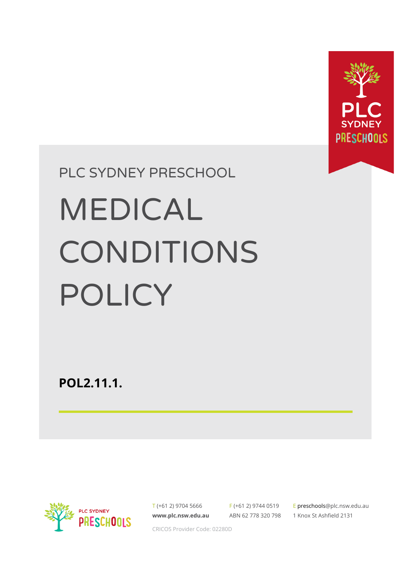

# PLC SYDNEY PRESCHOOL

# MEDICAL CONDITIONS POLICY

**POL2.11.1.**



T (+61 2) 9704 5666 **[www.plc.nsw.edu.au](http://www.plc.nsw.edu.au)** F (+61 2) 9744 0519 ABN 62 778 320 798

E preschool[s@plc.nsw.edu.au](mailto:enquiries@plc.nsw.edu.au) 1 Knox St Ashfield 2131

CRICOS Provider Code: 02280D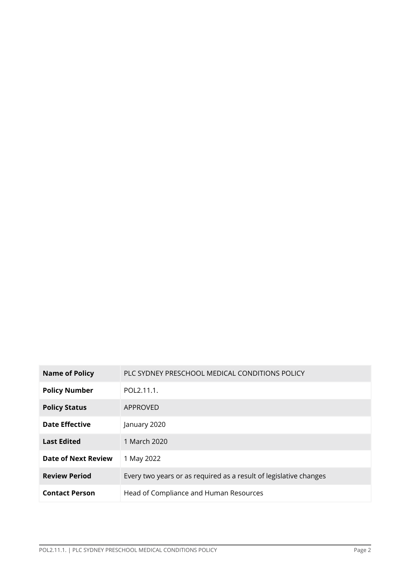| <b>Name of Policy</b>      | PLC SYDNEY PRESCHOOL MEDICAL CONDITIONS POLICY                    |
|----------------------------|-------------------------------------------------------------------|
| <b>Policy Number</b>       | POL2.11.1.                                                        |
| <b>Policy Status</b>       | APPROVED                                                          |
| <b>Date Effective</b>      | January 2020                                                      |
| <b>Last Edited</b>         | 1 March 2020                                                      |
| <b>Date of Next Review</b> | 1 May 2022                                                        |
| <b>Review Period</b>       | Every two years or as required as a result of legislative changes |
| <b>Contact Person</b>      | Head of Compliance and Human Resources                            |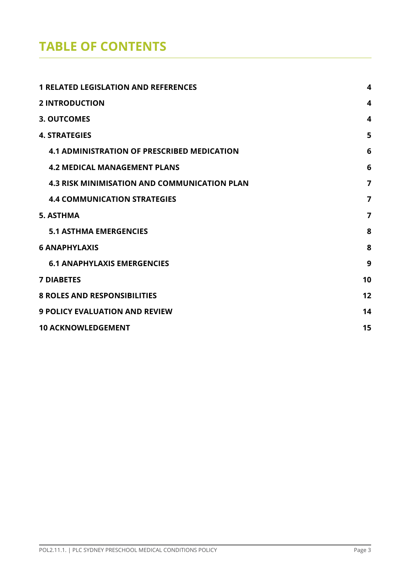# **TABLE OF CONTENTS**

| <b>1 RELATED LEGISLATION AND REFERENCES</b>         | 4                |
|-----------------------------------------------------|------------------|
| <b>2 INTRODUCTION</b>                               | 4                |
| <b>3. OUTCOMES</b>                                  | $\boldsymbol{4}$ |
| <b>4. STRATEGIES</b>                                | 5                |
| <b>4.1 ADMINISTRATION OF PRESCRIBED MEDICATION</b>  | 6                |
| <b>4.2 MEDICAL MANAGEMENT PLANS</b>                 | 6                |
| <b>4.3 RISK MINIMISATION AND COMMUNICATION PLAN</b> | 7                |
| <b>4.4 COMMUNICATION STRATEGIES</b>                 | $\overline{7}$   |
| <b>5. ASTHMA</b>                                    | 7                |
| <b>5.1 ASTHMA EMERGENCIES</b>                       | 8                |
| <b>6 ANAPHYLAXIS</b>                                | 8                |
| <b>6.1 ANAPHYLAXIS EMERGENCIES</b>                  | 9                |
| <b>7 DIABETES</b>                                   | 10               |
| <b>8 ROLES AND RESPONSIBILITIES</b>                 | 12               |
| <b>9 POLICY EVALUATION AND REVIEW</b>               | 14               |
| <b>10 ACKNOWLEDGEMENT</b>                           | 15               |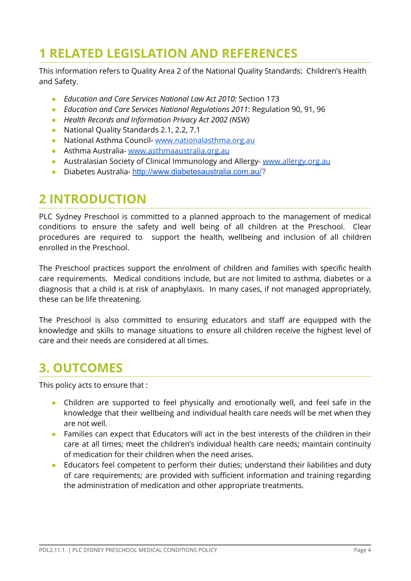## <span id="page-3-0"></span>**1 RELATED LEGISLATION AND REFERENCES**

This information refers to Quality Area 2 of the National Quality Standards: Children's Health and Safety.

- **●** *Education and Care Services National Law Act 2010:* Section 173
- **●** *Education and Care Services National Regulations 2011*: Regulation 90, 91, 96
- *● Health Records and Information Privacy Act 2002 (NSW)*
- **●** National Quality Standards 2.1, 2.2, 7.1
- **●** National Asthma Council- [www.nationalasthma.org.au](http://www.nationalasthma.org.au)
- **●** Asthma Australia- [www.asthmaaustralia.org,au](https://www.asthmaaustralia.org.au/)
- **●** Australasian Society of Clinical Immunology and Allergy- [www.allergy.org.au](http://www.allergy.org.au)
- **●** Diabetes Australia- <http://www.diabetesaustralia.com.au/>?

## <span id="page-3-1"></span>**2 INTRODUCTION**

PLC Sydney Preschool is committed to a planned approach to the management of medical conditions to ensure the safety and well being of all children at the Preschool. Clear procedures are required to support the health, wellbeing and inclusion of all children enrolled in the Preschool.

The Preschool practices support the enrolment of children and families with specific health care requirements. Medical conditions include, but are not limited to asthma, diabetes or a diagnosis that a child is at risk of anaphylaxis. In many cases, if not managed appropriately, these can be life threatening.

The Preschool is also committed to ensuring educators and staff are equipped with the knowledge and skills to manage situations to ensure all children receive the highest level of care and their needs are considered at all times.

## <span id="page-3-2"></span>**3. OUTCOMES**

This policy acts to ensure that :

- Children are supported to feel physically and emotionally well, and feel safe in the knowledge that their wellbeing and individual health care needs will be met when they are not well.
- Families can expect that Educators will act in the best interests of the children in their care at all times; meet the children's individual health care needs; maintain continuity of medication for their children when the need arises.
- Educators feel competent to perform their duties; understand their liabilities and duty of care requirements; are provided with sufficient information and training regarding the administration of medication and other appropriate treatments.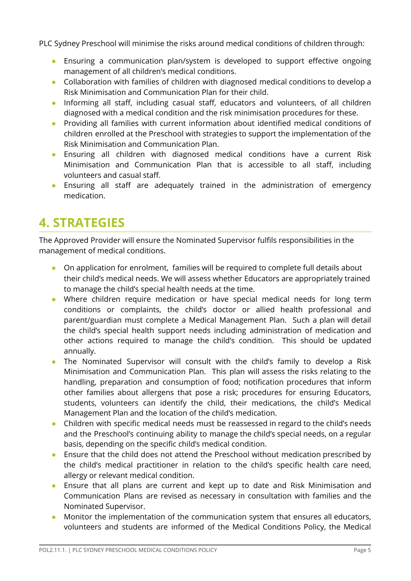PLC Sydney Preschool will minimise the risks around medical conditions of children through:

- Ensuring a communication plan/system is developed to support effective ongoing management of all children's medical conditions.
- Collaboration with families of children with diagnosed medical conditions to develop a Risk Minimisation and Communication Plan for their child.
- Informing all staff, including casual staff, educators and volunteers, of all children diagnosed with a medical condition and the risk minimisation procedures for these.
- Providing all families with current information about identified medical conditions of children enrolled at the Preschool with strategies to support the implementation of the Risk Minimisation and Communication Plan.
- Ensuring all children with diagnosed medical conditions have a current Risk Minimisation and Communication Plan that is accessible to all staff, including volunteers and casual staff.
- Ensuring all staff are adequately trained in the administration of emergency medication.

# <span id="page-4-0"></span>**4. STRATEGIES**

The Approved Provider will ensure the Nominated Supervisor fulfils responsibilities in the management of medical conditions.

- On application for enrolment, families will be required to complete full details about their child's medical needs. We will assess whether Educators are appropriately trained to manage the child's special health needs at the time.
- Where children require medication or have special medical needs for long term conditions or complaints, the child's doctor or allied health professional and parent/guardian must complete a Medical Management Plan. Such a plan will detail the child's special health support needs including administration of medication and other actions required to manage the child's condition. This should be updated annually.
- The Nominated Supervisor will consult with the child's family to develop a Risk Minimisation and Communication Plan. This plan will assess the risks relating to the handling, preparation and consumption of food; notification procedures that inform other families about allergens that pose a risk; procedures for ensuring Educators, students, volunteers can identify the child, their medications, the child's Medical Management Plan and the location of the child's medication.
- Children with specific medical needs must be reassessed in regard to the child's needs and the Preschool's continuing ability to manage the child's special needs, on a regular basis, depending on the specific child's medical condition.
- Ensure that the child does not attend the Preschool without medication prescribed by the child's medical practitioner in relation to the child's specific health care need, allergy or relevant medical condition.
- Ensure that all plans are current and kept up to date and Risk Minimisation and Communication Plans are revised as necessary in consultation with families and the Nominated Supervisor.
- Monitor the implementation of the communication system that ensures all educators, volunteers and students are informed of the Medical Conditions Policy, the Medical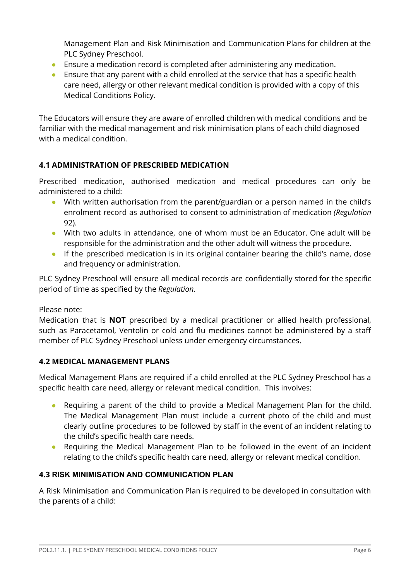Management Plan and Risk Minimisation and Communication Plans for children at the PLC Sydney Preschool.

- Ensure a medication record is completed after administering any medication.
- Ensure that any parent with a child enrolled at the service that has a specific health care need, allergy or other relevant medical condition is provided with a copy of this Medical Conditions Policy.

The Educators will ensure they are aware of enrolled children with medical conditions and be familiar with the medical management and risk minimisation plans of each child diagnosed with a medical condition.

### <span id="page-5-0"></span>**4.1 ADMINISTRATION OF PRESCRIBED MEDICATION**

Prescribed medication, authorised medication and medical procedures can only be administered to a child:

- With written authorisation from the parent/guardian or a person named in the child's enrolment record as authorised to consent to administration of medication *(Regulation* 92).
- With two adults in attendance, one of whom must be an Educator. One adult will be responsible for the administration and the other adult will witness the procedure.
- If the prescribed medication is in its original container bearing the child's name, dose and frequency or administration.

PLC Sydney Preschool will ensure all medical records are confidentially stored for the specific period of time as specified by the *Regulation*.

Please note:

Medication that is **NOT** prescribed by a medical practitioner or allied health professional, such as Paracetamol, Ventolin or cold and flu medicines cannot be administered by a staff member of PLC Sydney Preschool unless under emergency circumstances.

#### <span id="page-5-1"></span>**4.2 MEDICAL MANAGEMENT PLANS**

Medical Management Plans are required if a child enrolled at the PLC Sydney Preschool has a specific health care need, allergy or relevant medical condition. This involves:

- Requiring a parent of the child to provide a Medical Management Plan for the child. The Medical Management Plan must include a current photo of the child and must clearly outline procedures to be followed by staff in the event of an incident relating to the child's specific health care needs.
- Requiring the Medical Management Plan to be followed in the event of an incident relating to the child's specific health care need, allergy or relevant medical condition.

#### <span id="page-5-2"></span>**4.3 RISK MINIMISATION AND COMMUNICATION PLAN**

A Risk Minimisation and Communication Plan is required to be developed in consultation with the parents of a child: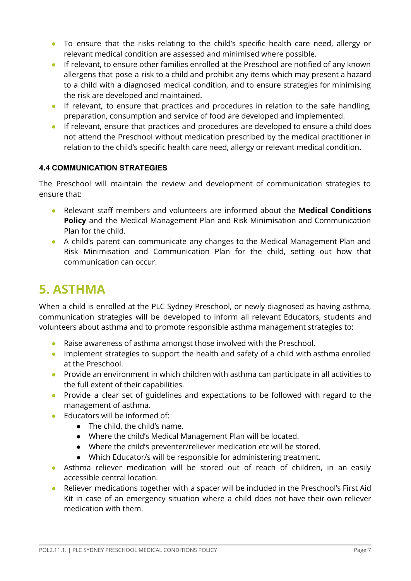- To ensure that the risks relating to the child's specific health care need, allergy or relevant medical condition are assessed and minimised where possible.
- If relevant, to ensure other families enrolled at the Preschool are notified of any known allergens that pose a risk to a child and prohibit any items which may present a hazard to a child with a diagnosed medical condition, and to ensure strategies for minimising the risk are developed and maintained.
- If relevant, to ensure that practices and procedures in relation to the safe handling, preparation, consumption and service of food are developed and implemented.
- If relevant, ensure that practices and procedures are developed to ensure a child does not attend the Preschool without medication prescribed by the medical practitioner in relation to the child's specific health care need, allergy or relevant medical condition.

#### <span id="page-6-0"></span>**4.4 COMMUNICATION STRATEGIES**

The Preschool will maintain the review and development of communication strategies to ensure that:

- Relevant staff members and volunteers are informed about the **Medical Conditions Policy** and the Medical Management Plan and Risk Minimisation and Communication Plan for the child.
- A child's parent can communicate any changes to the Medical Management Plan and Risk Minimisation and Communication Plan for the child, setting out how that communication can occur.

## <span id="page-6-1"></span>**5. ASTHMA**

When a child is enrolled at the PLC Sydney Preschool, or newly diagnosed as having asthma, communication strategies will be developed to inform all relevant Educators, students and volunteers about asthma and to promote responsible asthma management strategies to:

- Raise awareness of asthma amongst those involved with the Preschool.
- Implement strategies to support the health and safety of a child with asthma enrolled at the Preschool.
- Provide an environment in which children with asthma can participate in all activities to the full extent of their capabilities.
- Provide a clear set of guidelines and expectations to be followed with regard to the management of asthma.
- Educators will be informed of:
	- The child, the child's name.
	- Where the child's Medical Management Plan will be located.
	- Where the child's preventer/reliever medication etc will be stored.
	- Which Educator/s will be responsible for administering treatment.
- Asthma reliever medication will be stored out of reach of children, in an easily accessible central location.
- Reliever medications together with a spacer will be included in the Preschool's First Aid Kit in case of an emergency situation where a child does not have their own reliever medication with them.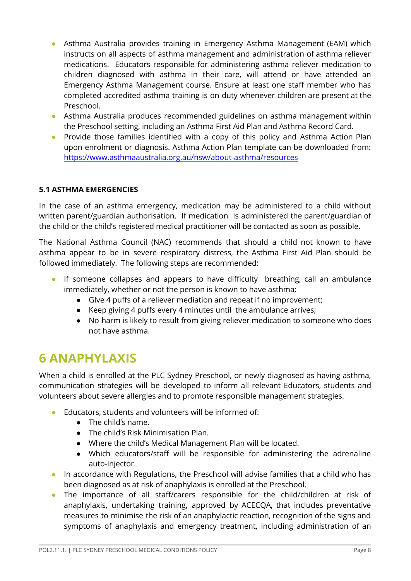- Asthma Australia provides training in Emergency Asthma Management (EAM) which instructs on all aspects of asthma management and administration of asthma reliever medications. Educators responsible for administering asthma reliever medication to children diagnosed with asthma in their care, will attend or have attended an Emergency Asthma Management course. Ensure at least one staff member who has completed accredited asthma training is on duty whenever children are present at the Preschool.
- Asthma Australia produces recommended guidelines on asthma management within the Preschool setting, including an Asthma First Aid Plan and Asthma Record Card.
- Provide those families identified with a copy of this policy and Asthma Action Plan upon enrolment or diagnosis. Asthma Action Plan template can be downloaded from: <https://www.asthmaaustralia.org.au/nsw/about-asthma/resources>

#### <span id="page-7-0"></span>**5.1 ASTHMA EMERGENCIES**

In the case of an asthma emergency, medication may be administered to a child without written parent/guardian authorisation. If medication is administered the parent/guardian of the child or the child's registered medical practitioner will be contacted as soon as possible.

The National Asthma Council (NAC) recommends that should a child not known to have asthma appear to be in severe respiratory distress, the Asthma First Aid Plan should be followed immediately. The following steps are recommended:

- If someone collapses and appears to have difficulty breathing, call an ambulance immediately, whether or not the person is known to have asthma;
	- GIve 4 puffs of a reliever mediation and repeat if no improvement;
	- Keep giving 4 puffs every 4 minutes until the ambulance arrives;
	- No harm is likely to result from giving reliever medication to someone who does not have asthma.

## <span id="page-7-1"></span>**6 ANAPHYLAXIS**

When a child is enrolled at the PLC Sydney Preschool, or newly diagnosed as having asthma, communication strategies will be developed to inform all relevant Educators, students and volunteers about severe allergies and to promote responsible management strategies.

- Educators, students and volunteers will be informed of:
	- The child's name.
	- The child's Risk Minimisation Plan.
	- Where the child's Medical Management Plan will be located.
	- Which educators/staff will be responsible for administering the adrenaline auto-injector.
- In accordance with Regulations, the Preschool will advise families that a child who has been diagnosed as at risk of anaphylaxis is enrolled at the Preschool.
- The importance of all staff/carers responsible for the child/children at risk of anaphylaxis, undertaking training, approved by ACECQA, that includes preventative measures to minimise the risk of an anaphylactic reaction, recognition of the signs and symptoms of anaphylaxis and emergency treatment, including administration of an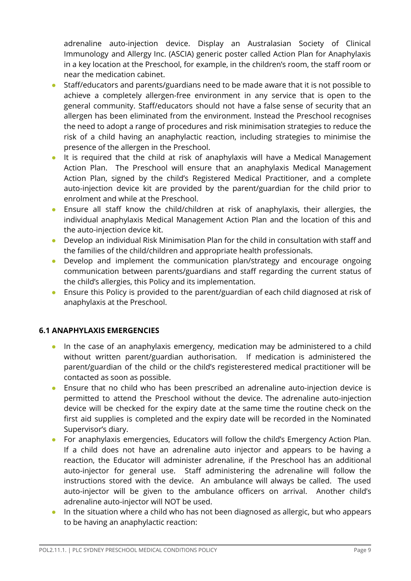adrenaline auto-injection device. Display an Australasian Society of Clinical Immunology and Allergy Inc. (ASCIA) generic poster called Action Plan for Anaphylaxis in a key location at the Preschool, for example, in the children's room, the staff room or near the medication cabinet.

- Staff/educators and parents/guardians need to be made aware that it is not possible to achieve a completely allergen-free environment in any service that is open to the general community. Staff/educators should not have a false sense of security that an allergen has been eliminated from the environment. Instead the Preschool recognises the need to adopt a range of procedures and risk minimisation strategies to reduce the risk of a child having an anaphylactic reaction, including strategies to minimise the presence of the allergen in the Preschool.
- It is required that the child at risk of anaphylaxis will have a Medical Management Action Plan. The Preschool will ensure that an anaphylaxis Medical Management Action Plan, signed by the child's Registered Medical Practitioner, and a complete auto-injection device kit are provided by the parent/guardian for the child prior to enrolment and while at the Preschool.
- Ensure all staff know the child/children at risk of anaphylaxis, their allergies, the individual anaphylaxis Medical Management Action Plan and the location of this and the auto-injection device kit.
- Develop an individual Risk Minimisation Plan for the child in consultation with staff and the families of the child/children and appropriate health professionals.
- Develop and implement the communication plan/strategy and encourage ongoing communication between parents/guardians and staff regarding the current status of the child's allergies, this Policy and its implementation.
- Ensure this Policy is provided to the parent/guardian of each child diagnosed at risk of anaphylaxis at the Preschool.

#### <span id="page-8-0"></span>**6.1 ANAPHYLAXIS EMERGENCIES**

- In the case of an anaphylaxis emergency, medication may be administered to a child without written parent/guardian authorisation. If medication is administered the parent/guardian of the child or the child's registerestered medical practitioner will be contacted as soon as possible.
- Ensure that no child who has been prescribed an adrenaline auto-injection device is permitted to attend the Preschool without the device. The adrenaline auto-injection device will be checked for the expiry date at the same time the routine check on the first aid supplies is completed and the expiry date will be recorded in the Nominated Supervisor's diary.
- For anaphylaxis emergencies, Educators will follow the child's Emergency Action Plan. If a child does not have an adrenaline auto injector and appears to be having a reaction, the Educator will administer adrenaline, if the Preschool has an additional auto-injector for general use. Staff administering the adrenaline will follow the instructions stored with the device. An ambulance will always be called. The used auto-injector will be given to the ambulance officers on arrival. Another child's adrenaline auto-injector will NOT be used.
- In the situation where a child who has not been diagnosed as allergic, but who appears to be having an anaphylactic reaction: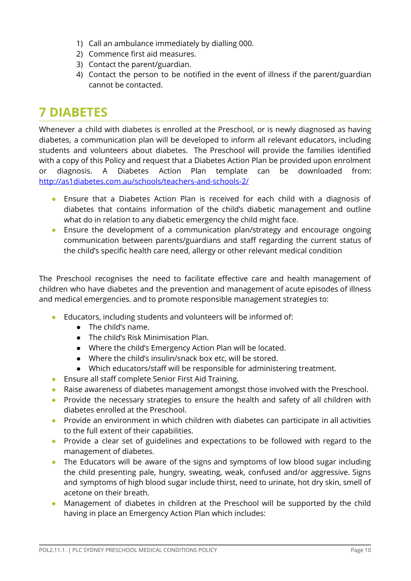- 1) Call an ambulance immediately by dialling 000.
- 2) Commence first aid measures.
- 3) Contact the parent/guardian.
- 4) Contact the person to be notified in the event of illness if the parent/guardian cannot be contacted.

## <span id="page-9-0"></span>**7 DIABETES**

Whenever a child with diabetes is enrolled at the Preschool, or is newly diagnosed as having diabetes, a communication plan will be developed to inform all relevant educators, including students and volunteers about diabetes. The Preschool will provide the families identified with a copy of this Policy and request that a Diabetes Action Plan be provided upon enrolment or diagnosis. A Diabetes Action Plan template can be downloaded from: <http://as1diabetes.com.au/schools/teachers-and-schools-2/>

- Ensure that a Diabetes Action Plan is received for each child with a diagnosis of diabetes that contains information of the child's diabetic management and outline what do in relation to any diabetic emergency the child might face.
- Ensure the development of a communication plan/strategy and encourage ongoing communication between parents/guardians and staff regarding the current status of the child's specific health care need, allergy or other relevant medical condition

The Preschool recognises the need to facilitate effective care and health management of children who have diabetes and the prevention and management of acute episodes of illness and medical emergencies. and to promote responsible management strategies to:

- Educators, including students and volunteers will be informed of:
	- The child's name.
	- The child's Risk Minimisation Plan.
	- Where the child's Emergency Action Plan will be located.
	- Where the child's insulin/snack box etc, will be stored.
	- Which educators/staff will be responsible for administering treatment.
- Ensure all staff complete Senior First Aid Training.
- Raise awareness of diabetes management amongst those involved with the Preschool.
- Provide the necessary strategies to ensure the health and safety of all children with diabetes enrolled at the Preschool.
- Provide an environment in which children with diabetes can participate in all activities to the full extent of their capabilities.
- Provide a clear set of guidelines and expectations to be followed with regard to the management of diabetes.
- The Educators will be aware of the signs and symptoms of low blood sugar including the child presenting pale, hungry, sweating, weak, confused and/or aggressive. Signs and symptoms of high blood sugar include thirst, need to urinate, hot dry skin, smell of acetone on their breath.
- Management of diabetes in children at the Preschool will be supported by the child having in place an Emergency Action Plan which includes: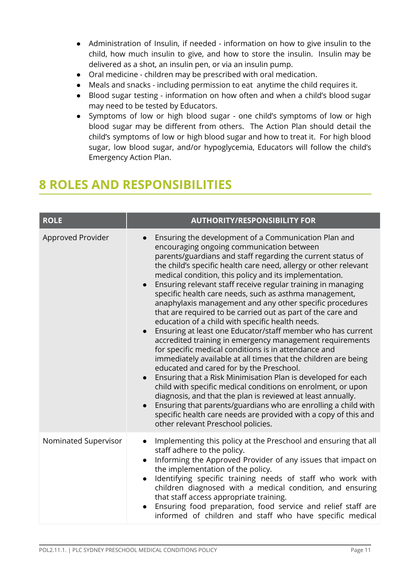- Administration of Insulin, if needed information on how to give insulin to the child, how much insulin to give, and how to store the insulin. Insulin may be delivered as a shot, an insulin pen, or via an insulin pump.
- Oral medicine children may be prescribed with oral medication.
- Meals and snacks including permission to eat anytime the child requires it.
- Blood sugar testing information on how often and when a child's blood sugar may need to be tested by Educators.
- Symptoms of low or high blood sugar one child's symptoms of low or high blood sugar may be different from others. The Action Plan should detail the child's symptoms of low or high blood sugar and how to treat it. For high blood sugar, low blood sugar, and/or hypoglycemia, Educators will follow the child's Emergency Action Plan.

## <span id="page-10-0"></span>**8 ROLES AND RESPONSIBILITIES**

| <b>ROLE</b>          | <b>AUTHORITY/RESPONSIBILITY FOR</b>                                                                                                                                                                                                                                                                                                                                                                                                                                                                                                                                                                                                                                                                                                                                                                                                                                                                                                                                                                                                                                                                                                                                                                                                                                                             |  |
|----------------------|-------------------------------------------------------------------------------------------------------------------------------------------------------------------------------------------------------------------------------------------------------------------------------------------------------------------------------------------------------------------------------------------------------------------------------------------------------------------------------------------------------------------------------------------------------------------------------------------------------------------------------------------------------------------------------------------------------------------------------------------------------------------------------------------------------------------------------------------------------------------------------------------------------------------------------------------------------------------------------------------------------------------------------------------------------------------------------------------------------------------------------------------------------------------------------------------------------------------------------------------------------------------------------------------------|--|
| Approved Provider    | Ensuring the development of a Communication Plan and<br>encouraging ongoing communication between<br>parents/guardians and staff regarding the current status of<br>the child's specific health care need, allergy or other relevant<br>medical condition, this policy and its implementation.<br>Ensuring relevant staff receive regular training in managing<br>$\bullet$<br>specific health care needs, such as asthma management,<br>anaphylaxis management and any other specific procedures<br>that are required to be carried out as part of the care and<br>education of a child with specific health needs.<br>Ensuring at least one Educator/staff member who has current<br>accredited training in emergency management requirements<br>for specific medical conditions is in attendance and<br>immediately available at all times that the children are being<br>educated and cared for by the Preschool.<br>Ensuring that a Risk Minimisation Plan is developed for each<br>child with specific medical conditions on enrolment, or upon<br>diagnosis, and that the plan is reviewed at least annually.<br>Ensuring that parents/guardians who are enrolling a child with<br>specific health care needs are provided with a copy of this and<br>other relevant Preschool policies. |  |
| Nominated Supervisor | Implementing this policy at the Preschool and ensuring that all<br>$\bullet$<br>staff adhere to the policy.<br>Informing the Approved Provider of any issues that impact on<br>the implementation of the policy.<br>Identifying specific training needs of staff who work with<br>children diagnosed with a medical condition, and ensuring<br>that staff access appropriate training.<br>Ensuring food preparation, food service and relief staff are<br>informed of children and staff who have specific medical                                                                                                                                                                                                                                                                                                                                                                                                                                                                                                                                                                                                                                                                                                                                                                              |  |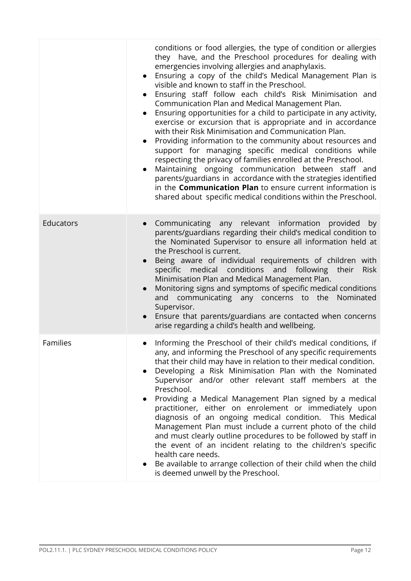|                 | conditions or food allergies, the type of condition or allergies<br>they have, and the Preschool procedures for dealing with<br>emergencies involving allergies and anaphylaxis.<br>Ensuring a copy of the child's Medical Management Plan is<br>visible and known to staff in the Preschool.<br>Ensuring staff follow each child's Risk Minimisation and<br>Communication Plan and Medical Management Plan.<br>Ensuring opportunities for a child to participate in any activity,<br>exercise or excursion that is appropriate and in accordance<br>with their Risk Minimisation and Communication Plan.<br>Providing information to the community about resources and<br>support for managing specific medical conditions while<br>respecting the privacy of families enrolled at the Preschool.<br>Maintaining ongoing communication between staff and<br>parents/guardians in accordance with the strategies identified<br>in the <b>Communication Plan</b> to ensure current information is<br>shared about specific medical conditions within the Preschool. |
|-----------------|--------------------------------------------------------------------------------------------------------------------------------------------------------------------------------------------------------------------------------------------------------------------------------------------------------------------------------------------------------------------------------------------------------------------------------------------------------------------------------------------------------------------------------------------------------------------------------------------------------------------------------------------------------------------------------------------------------------------------------------------------------------------------------------------------------------------------------------------------------------------------------------------------------------------------------------------------------------------------------------------------------------------------------------------------------------------|
| Educators       | Communicating any relevant information provided<br>by<br>$\bullet$<br>parents/guardians regarding their child's medical condition to<br>the Nominated Supervisor to ensure all information held at<br>the Preschool is current.<br>Being aware of individual requirements of children with<br>specific medical conditions and following their<br><b>Risk</b><br>Minimisation Plan and Medical Management Plan.<br>Monitoring signs and symptoms of specific medical conditions<br>communicating any concerns to the Nominated<br>and<br>Supervisor.<br>Ensure that parents/guardians are contacted when concerns<br>arise regarding a child's health and wellbeing.                                                                                                                                                                                                                                                                                                                                                                                                |
| <b>Families</b> | Informing the Preschool of their child's medical conditions, if<br>any, and informing the Preschool of any specific requirements<br>that their child may have in relation to their medical condition.<br>Developing a Risk Minimisation Plan with the Nominated<br>Supervisor and/or other relevant staff members at the<br>Preschool.<br>Providing a Medical Management Plan signed by a medical<br>practitioner, either on enrolement or immediately upon<br>diagnosis of an ongoing medical condition.<br>This Medical<br>Management Plan must include a current photo of the child<br>and must clearly outline procedures to be followed by staff in<br>the event of an incident relating to the children's specific<br>health care needs.<br>Be available to arrange collection of their child when the child<br>is deemed unwell by the Preschool.                                                                                                                                                                                                           |